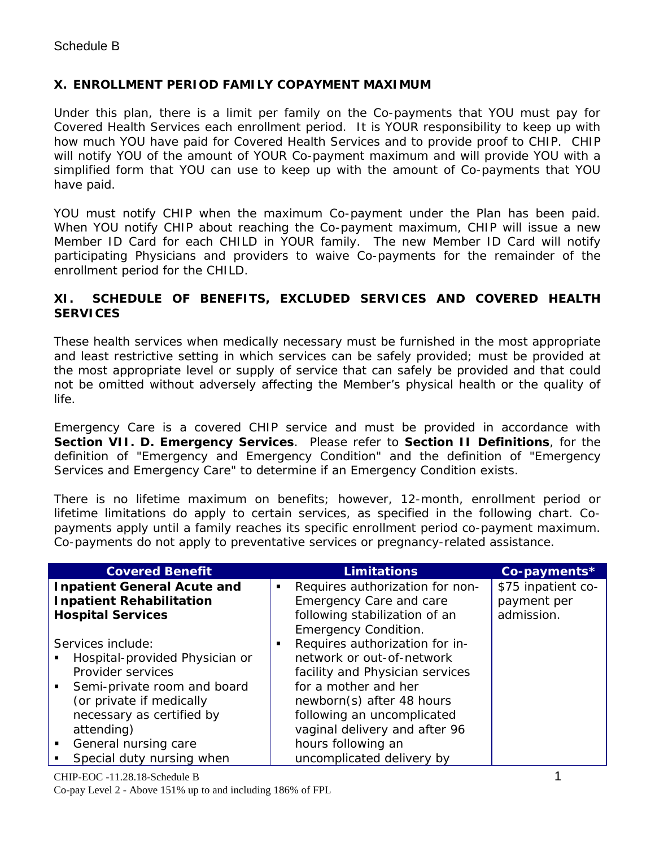## **X. ENROLLMENT PERIOD FAMILY COPAYMENT MAXIMUM**

Under this plan, there is a limit per family on the Co-payments that YOU must pay for Covered Health Services each enrollment period. It is YOUR responsibility to keep up with how much YOU have paid for Covered Health Services and to provide proof to CHIP. CHIP will notify YOU of the amount of YOUR Co-payment maximum and will provide YOU with a simplified form that YOU can use to keep up with the amount of Co-payments that YOU have paid.

YOU must notify CHIP when the maximum Co-payment under the Plan has been paid. When YOU notify CHIP about reaching the Co-payment maximum, CHIP will issue a new Member ID Card for each CHILD in YOUR family. The new Member ID Card will notify participating Physicians and providers to waive Co-payments for the remainder of the enrollment period for the CHILD.

### **XI. SCHEDULE OF BENEFITS, EXCLUDED SERVICES AND COVERED HEALTH SERVICES**

These health services when medically necessary must be furnished in the most appropriate and least restrictive setting in which services can be safely provided; must be provided at the most appropriate level or supply of service that can safely be provided and that could not be omitted without adversely affecting the Member's physical health or the quality of life.

Emergency Care is a covered CHIP service and must be provided in accordance with **Section VII. D. Emergency Services**. Please refer to **Section II Definitions**, for the definition of "Emergency and Emergency Condition" and the definition of "Emergency Services and Emergency Care" to determine if an Emergency Condition exists.

There is no lifetime maximum on benefits; however, 12-month, enrollment period or lifetime limitations do apply to certain services, as specified in the following chart. Copayments apply until a family reaches its specific enrollment period co-payment maximum. Co-payments do not apply to preventative services or pregnancy-related assistance.

| <b>Covered Benefit</b>                                                                                                                                                                                                                                                |   | <b>Limitations</b>                                                                                                                                                                                                                                                    | Co-payments*                                    |
|-----------------------------------------------------------------------------------------------------------------------------------------------------------------------------------------------------------------------------------------------------------------------|---|-----------------------------------------------------------------------------------------------------------------------------------------------------------------------------------------------------------------------------------------------------------------------|-------------------------------------------------|
| <b>Inpatient General Acute and</b><br><b>Inpatient Rehabilitation</b><br><b>Hospital Services</b>                                                                                                                                                                     | ٠ | Requires authorization for non-<br>Emergency Care and care<br>following stabilization of an<br><b>Emergency Condition.</b>                                                                                                                                            | \$75 inpatient co-<br>payment per<br>admission. |
| Services include:<br>Hospital-provided Physician or<br>Provider services<br>Semi-private room and board<br>$\mathbf{u}$<br>(or private if medically<br>necessary as certified by<br>attending)<br>General nursing care<br>$\blacksquare$<br>Special duty nursing when | п | Requires authorization for in-<br>network or out-of-network<br>facility and Physician services<br>for a mother and her<br>newborn(s) after 48 hours<br>following an uncomplicated<br>vaginal delivery and after 96<br>hours following an<br>uncomplicated delivery by |                                                 |

CHIP-EOC -11.28.18-Schedule B 1 Co-pay Level 2 - Above 151% up to and including 186% of FPL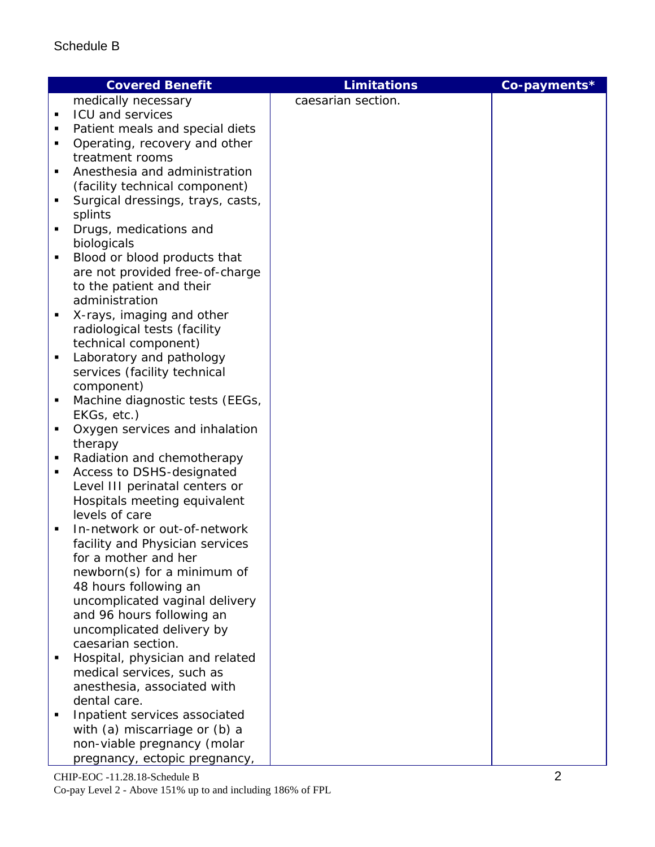|   | <b>Covered Benefit</b>            | <b>Limitations</b> | Co-payments* |
|---|-----------------------------------|--------------------|--------------|
|   | medically necessary               | caesarian section. |              |
| ٠ | ICU and services                  |                    |              |
| ٠ | Patient meals and special diets   |                    |              |
| ٠ | Operating, recovery and other     |                    |              |
|   | treatment rooms                   |                    |              |
| ٠ | Anesthesia and administration     |                    |              |
|   | (facility technical component)    |                    |              |
| ٠ | Surgical dressings, trays, casts, |                    |              |
|   | splints                           |                    |              |
| ٠ | Drugs, medications and            |                    |              |
|   | biologicals                       |                    |              |
| ٠ | Blood or blood products that      |                    |              |
|   | are not provided free-of-charge   |                    |              |
|   | to the patient and their          |                    |              |
|   | administration                    |                    |              |
| ٠ | X-rays, imaging and other         |                    |              |
|   | radiological tests (facility      |                    |              |
|   | technical component)              |                    |              |
| ٠ | Laboratory and pathology          |                    |              |
|   | services (facility technical      |                    |              |
|   | component)                        |                    |              |
| ٠ | Machine diagnostic tests (EEGs,   |                    |              |
|   | EKGs, etc.)                       |                    |              |
| ٠ | Oxygen services and inhalation    |                    |              |
|   | therapy                           |                    |              |
| ٠ | Radiation and chemotherapy        |                    |              |
| ٠ | Access to DSHS-designated         |                    |              |
|   | Level III perinatal centers or    |                    |              |
|   | Hospitals meeting equivalent      |                    |              |
|   | levels of care                    |                    |              |
| ٠ | In-network or out-of-network      |                    |              |
|   | facility and Physician services   |                    |              |
|   | for a mother and her              |                    |              |
|   | newborn(s) for a minimum of       |                    |              |
|   | 48 hours following an             |                    |              |
|   | uncomplicated vaginal delivery    |                    |              |
|   | and 96 hours following an         |                    |              |
|   | uncomplicated delivery by         |                    |              |
|   | caesarian section.                |                    |              |
| ٠ | Hospital, physician and related   |                    |              |
|   | medical services, such as         |                    |              |
|   | anesthesia, associated with       |                    |              |
|   | dental care.                      |                    |              |
|   | Inpatient services associated     |                    |              |
|   | with (a) miscarriage or (b) a     |                    |              |
|   | non-viable pregnancy (molar       |                    |              |
|   | pregnancy, ectopic pregnancy,     |                    |              |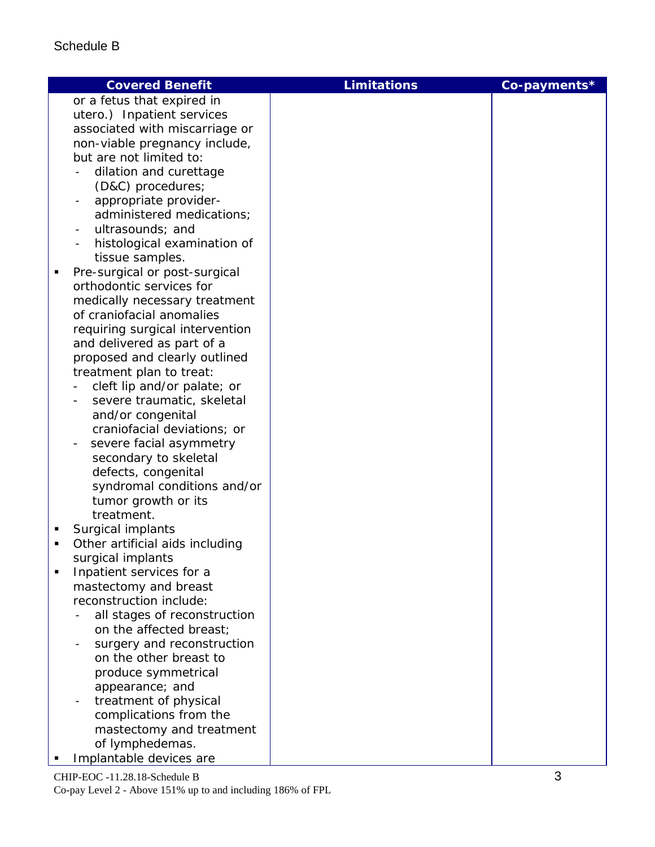# Schedule B

|   | <b>Covered Benefit</b>                                  | <b>Limitations</b> | Co-payments* |
|---|---------------------------------------------------------|--------------------|--------------|
|   | or a fetus that expired in                              |                    |              |
|   | utero.) Inpatient services                              |                    |              |
|   | associated with miscarriage or                          |                    |              |
|   | non-viable pregnancy include,                           |                    |              |
|   | but are not limited to:                                 |                    |              |
|   | dilation and curettage                                  |                    |              |
|   | (D&C) procedures;                                       |                    |              |
|   | appropriate provider-                                   |                    |              |
|   | administered medications;                               |                    |              |
|   | ultrasounds; and                                        |                    |              |
|   | histological examination of                             |                    |              |
|   | tissue samples.                                         |                    |              |
| п | Pre-surgical or post-surgical                           |                    |              |
|   | orthodontic services for                                |                    |              |
|   | medically necessary treatment                           |                    |              |
|   | of craniofacial anomalies                               |                    |              |
|   | requiring surgical intervention                         |                    |              |
|   | and delivered as part of a                              |                    |              |
|   | proposed and clearly outlined                           |                    |              |
|   | treatment plan to treat:<br>cleft lip and/or palate; or |                    |              |
|   | severe traumatic, skeletal                              |                    |              |
|   | and/or congenital                                       |                    |              |
|   | craniofacial deviations; or                             |                    |              |
|   | severe facial asymmetry                                 |                    |              |
|   | secondary to skeletal                                   |                    |              |
|   | defects, congenital                                     |                    |              |
|   | syndromal conditions and/or                             |                    |              |
|   | tumor growth or its                                     |                    |              |
|   | treatment.                                              |                    |              |
| ٠ | Surgical implants                                       |                    |              |
| Ξ | Other artificial aids including                         |                    |              |
|   | surgical implants                                       |                    |              |
|   | Inpatient services for a                                |                    |              |
|   | mastectomy and breast                                   |                    |              |
|   | reconstruction include:                                 |                    |              |
|   | all stages of reconstruction                            |                    |              |
|   | on the affected breast;                                 |                    |              |
|   | surgery and reconstruction<br>on the other breast to    |                    |              |
|   | produce symmetrical                                     |                    |              |
|   | appearance; and                                         |                    |              |
|   | treatment of physical                                   |                    |              |
|   | complications from the                                  |                    |              |
|   | mastectomy and treatment                                |                    |              |
|   | of lymphedemas.                                         |                    |              |
|   | Implantable devices are                                 |                    |              |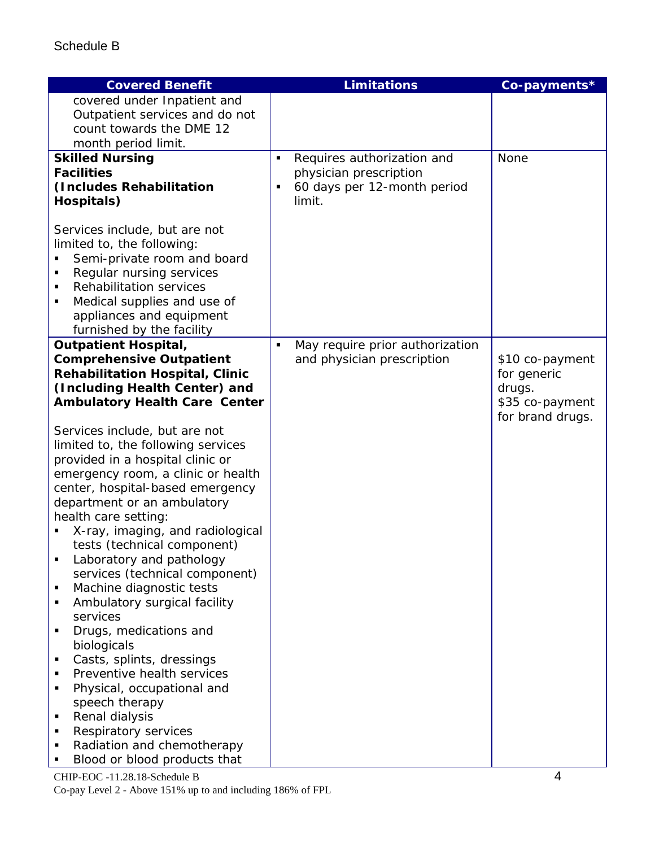| <b>Covered Benefit</b>                                                                                                                                                                                                                                                                                                                                                                                                                                                                                                                                                                                                                                                                                                                                                |                | <b>Limitations</b>              | Co-payments*          |
|-----------------------------------------------------------------------------------------------------------------------------------------------------------------------------------------------------------------------------------------------------------------------------------------------------------------------------------------------------------------------------------------------------------------------------------------------------------------------------------------------------------------------------------------------------------------------------------------------------------------------------------------------------------------------------------------------------------------------------------------------------------------------|----------------|---------------------------------|-----------------------|
| covered under Inpatient and                                                                                                                                                                                                                                                                                                                                                                                                                                                                                                                                                                                                                                                                                                                                           |                |                                 |                       |
| Outpatient services and do not                                                                                                                                                                                                                                                                                                                                                                                                                                                                                                                                                                                                                                                                                                                                        |                |                                 |                       |
| count towards the DME 12                                                                                                                                                                                                                                                                                                                                                                                                                                                                                                                                                                                                                                                                                                                                              |                |                                 |                       |
| month period limit.                                                                                                                                                                                                                                                                                                                                                                                                                                                                                                                                                                                                                                                                                                                                                   |                |                                 |                       |
| <b>Skilled Nursing</b>                                                                                                                                                                                                                                                                                                                                                                                                                                                                                                                                                                                                                                                                                                                                                | ٠              | Requires authorization and      | None                  |
| <b>Facilities</b>                                                                                                                                                                                                                                                                                                                                                                                                                                                                                                                                                                                                                                                                                                                                                     |                | physician prescription          |                       |
| (Includes Rehabilitation                                                                                                                                                                                                                                                                                                                                                                                                                                                                                                                                                                                                                                                                                                                                              | ٠              | 60 days per 12-month period     |                       |
| Hospitals)                                                                                                                                                                                                                                                                                                                                                                                                                                                                                                                                                                                                                                                                                                                                                            |                | limit.                          |                       |
| Services include, but are not<br>limited to, the following:<br>Semi-private room and board<br>Regular nursing services<br>$\blacksquare$<br><b>Rehabilitation services</b><br>$\blacksquare$<br>Medical supplies and use of<br>٠<br>appliances and equipment<br>furnished by the facility                                                                                                                                                                                                                                                                                                                                                                                                                                                                             |                |                                 |                       |
| <b>Outpatient Hospital,</b>                                                                                                                                                                                                                                                                                                                                                                                                                                                                                                                                                                                                                                                                                                                                           | $\blacksquare$ | May require prior authorization |                       |
| <b>Comprehensive Outpatient</b>                                                                                                                                                                                                                                                                                                                                                                                                                                                                                                                                                                                                                                                                                                                                       |                | and physician prescription      | \$10 co-payment       |
| <b>Rehabilitation Hospital, Clinic</b><br>(Including Health Center) and                                                                                                                                                                                                                                                                                                                                                                                                                                                                                                                                                                                                                                                                                               |                |                                 | for generic<br>drugs. |
| <b>Ambulatory Health Care Center</b>                                                                                                                                                                                                                                                                                                                                                                                                                                                                                                                                                                                                                                                                                                                                  |                |                                 | \$35 co-payment       |
|                                                                                                                                                                                                                                                                                                                                                                                                                                                                                                                                                                                                                                                                                                                                                                       |                |                                 | for brand drugs.      |
| Services include, but are not<br>limited to, the following services<br>provided in a hospital clinic or<br>emergency room, a clinic or health<br>center, hospital-based emergency<br>department or an ambulatory<br>health care setting:<br>X-ray, imaging, and radiological<br>tests (technical component)<br>Laboratory and pathology<br>services (technical component)<br>Machine diagnostic tests<br>٠<br>Ambulatory surgical facility<br>٠<br>services<br>Drugs, medications and<br>$\blacksquare$<br>biologicals<br>Casts, splints, dressings<br>Preventive health services<br>Physical, occupational and<br>$\blacksquare$<br>speech therapy<br>Renal dialysis<br>٠<br>Respiratory services<br>٠<br>Radiation and chemotherapy<br>Blood or blood products that |                |                                 |                       |

CHIP-EOC -11.28.18-Schedule B 4 Co-pay Level 2 - Above 151% up to and including 186% of FPL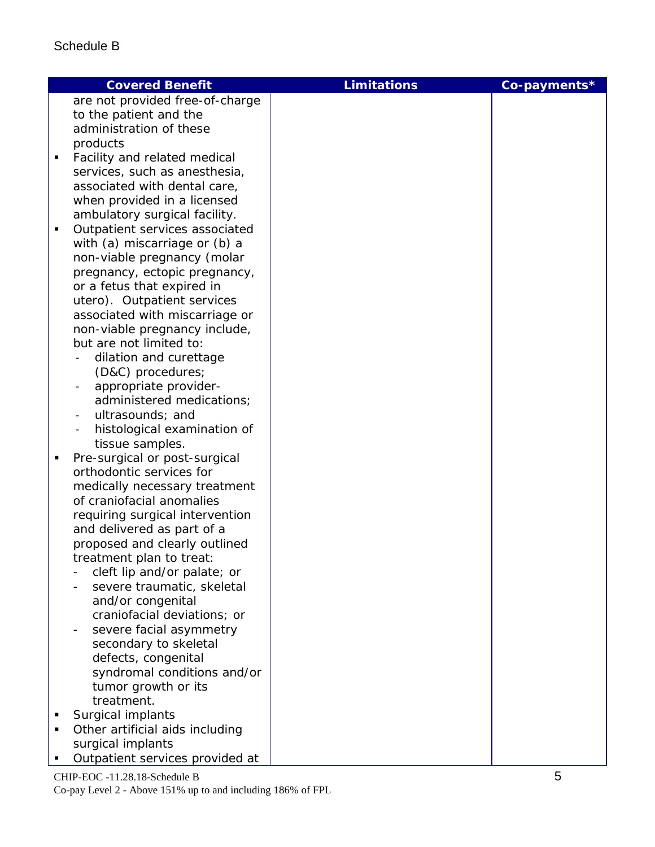| <b>Covered Benefit</b>                                | <b>Limitations</b> | Co-payments* |
|-------------------------------------------------------|--------------------|--------------|
| are not provided free-of-charge                       |                    |              |
| to the patient and the                                |                    |              |
| administration of these                               |                    |              |
| products                                              |                    |              |
| Facility and related medical<br>п                     |                    |              |
| services, such as anesthesia,                         |                    |              |
| associated with dental care,                          |                    |              |
| when provided in a licensed                           |                    |              |
| ambulatory surgical facility.                         |                    |              |
| Outpatient services associated<br>п                   |                    |              |
| with (a) miscarriage or (b) a                         |                    |              |
| non-viable pregnancy (molar                           |                    |              |
| pregnancy, ectopic pregnancy,                         |                    |              |
| or a fetus that expired in                            |                    |              |
| utero). Outpatient services                           |                    |              |
| associated with miscarriage or                        |                    |              |
| non-viable pregnancy include,                         |                    |              |
| but are not limited to:                               |                    |              |
| dilation and curettage                                |                    |              |
| (D&C) procedures;                                     |                    |              |
| appropriate provider-<br>$\qquad \qquad \blacksquare$ |                    |              |
| administered medications;                             |                    |              |
| ultrasounds; and                                      |                    |              |
| histological examination of                           |                    |              |
| tissue samples.                                       |                    |              |
| Pre-surgical or post-surgical<br>П                    |                    |              |
| orthodontic services for                              |                    |              |
| medically necessary treatment                         |                    |              |
| of craniofacial anomalies                             |                    |              |
| requiring surgical intervention                       |                    |              |
| and delivered as part of a                            |                    |              |
| proposed and clearly outlined                         |                    |              |
| treatment plan to treat:                              |                    |              |
| cleft lip and/or palate; or                           |                    |              |
| severe traumatic, skeletal                            |                    |              |
| and/or congenital                                     |                    |              |
| craniofacial deviations; or                           |                    |              |
| severe facial asymmetry                               |                    |              |
| secondary to skeletal                                 |                    |              |
|                                                       |                    |              |
| defects, congenital                                   |                    |              |
| syndromal conditions and/or                           |                    |              |
| tumor growth or its                                   |                    |              |
| treatment.                                            |                    |              |
| Surgical implants                                     |                    |              |
| Other artificial aids including                       |                    |              |
| surgical implants                                     |                    |              |
| Outpatient services provided at                       |                    |              |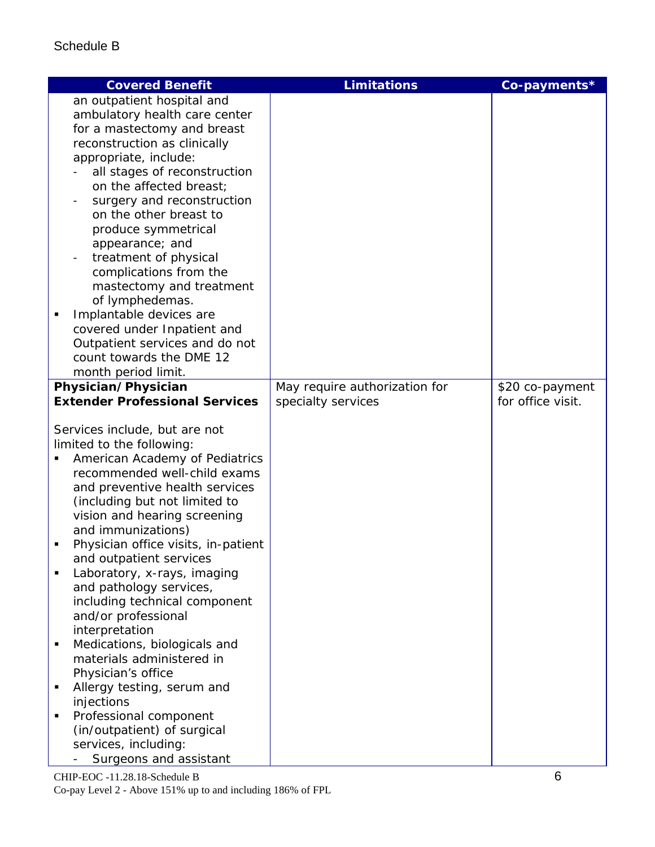# Schedule B

| an outpatient hospital and<br>ambulatory health care center<br>for a mastectomy and breast<br>reconstruction as clinically<br>appropriate, include:<br>all stages of reconstruction<br>on the affected breast;<br>surgery and reconstruction<br>on the other breast to<br>produce symmetrical<br>appearance; and<br>treatment of physical<br>complications from the<br>mastectomy and treatment<br>of lymphedemas.<br>Implantable devices are<br>٠<br>covered under Inpatient and |
|-----------------------------------------------------------------------------------------------------------------------------------------------------------------------------------------------------------------------------------------------------------------------------------------------------------------------------------------------------------------------------------------------------------------------------------------------------------------------------------|
|                                                                                                                                                                                                                                                                                                                                                                                                                                                                                   |
|                                                                                                                                                                                                                                                                                                                                                                                                                                                                                   |
|                                                                                                                                                                                                                                                                                                                                                                                                                                                                                   |
|                                                                                                                                                                                                                                                                                                                                                                                                                                                                                   |
|                                                                                                                                                                                                                                                                                                                                                                                                                                                                                   |
|                                                                                                                                                                                                                                                                                                                                                                                                                                                                                   |
|                                                                                                                                                                                                                                                                                                                                                                                                                                                                                   |
|                                                                                                                                                                                                                                                                                                                                                                                                                                                                                   |
|                                                                                                                                                                                                                                                                                                                                                                                                                                                                                   |
|                                                                                                                                                                                                                                                                                                                                                                                                                                                                                   |
|                                                                                                                                                                                                                                                                                                                                                                                                                                                                                   |
|                                                                                                                                                                                                                                                                                                                                                                                                                                                                                   |
|                                                                                                                                                                                                                                                                                                                                                                                                                                                                                   |
|                                                                                                                                                                                                                                                                                                                                                                                                                                                                                   |
|                                                                                                                                                                                                                                                                                                                                                                                                                                                                                   |
|                                                                                                                                                                                                                                                                                                                                                                                                                                                                                   |
|                                                                                                                                                                                                                                                                                                                                                                                                                                                                                   |
| Outpatient services and do not                                                                                                                                                                                                                                                                                                                                                                                                                                                    |
| count towards the DME 12                                                                                                                                                                                                                                                                                                                                                                                                                                                          |
| month period limit.                                                                                                                                                                                                                                                                                                                                                                                                                                                               |
| Physician/Physician<br>May require authorization for<br>\$20 co-payment                                                                                                                                                                                                                                                                                                                                                                                                           |
| <b>Extender Professional Services</b><br>for office visit.<br>specialty services                                                                                                                                                                                                                                                                                                                                                                                                  |
|                                                                                                                                                                                                                                                                                                                                                                                                                                                                                   |
| Services include, but are not                                                                                                                                                                                                                                                                                                                                                                                                                                                     |
| limited to the following:                                                                                                                                                                                                                                                                                                                                                                                                                                                         |
| American Academy of Pediatrics                                                                                                                                                                                                                                                                                                                                                                                                                                                    |
| recommended well-child exams                                                                                                                                                                                                                                                                                                                                                                                                                                                      |
| and preventive health services                                                                                                                                                                                                                                                                                                                                                                                                                                                    |
| (including but not limited to                                                                                                                                                                                                                                                                                                                                                                                                                                                     |
| vision and hearing screening                                                                                                                                                                                                                                                                                                                                                                                                                                                      |
| and immunizations)                                                                                                                                                                                                                                                                                                                                                                                                                                                                |
| Physician office visits, in-patient<br>٠                                                                                                                                                                                                                                                                                                                                                                                                                                          |
| and outpatient services                                                                                                                                                                                                                                                                                                                                                                                                                                                           |
| Laboratory, x-rays, imaging                                                                                                                                                                                                                                                                                                                                                                                                                                                       |
| and pathology services,                                                                                                                                                                                                                                                                                                                                                                                                                                                           |
| including technical component                                                                                                                                                                                                                                                                                                                                                                                                                                                     |
| and/or professional                                                                                                                                                                                                                                                                                                                                                                                                                                                               |
| interpretation                                                                                                                                                                                                                                                                                                                                                                                                                                                                    |
| Medications, biologicals and<br>$\blacksquare$<br>materials administered in                                                                                                                                                                                                                                                                                                                                                                                                       |
| Physician's office                                                                                                                                                                                                                                                                                                                                                                                                                                                                |
| Allergy testing, serum and<br>п                                                                                                                                                                                                                                                                                                                                                                                                                                                   |
| injections                                                                                                                                                                                                                                                                                                                                                                                                                                                                        |
| Professional component<br>$\blacksquare$                                                                                                                                                                                                                                                                                                                                                                                                                                          |
| (in/outpatient) of surgical                                                                                                                                                                                                                                                                                                                                                                                                                                                       |
| services, including:                                                                                                                                                                                                                                                                                                                                                                                                                                                              |
| Surgeons and assistant                                                                                                                                                                                                                                                                                                                                                                                                                                                            |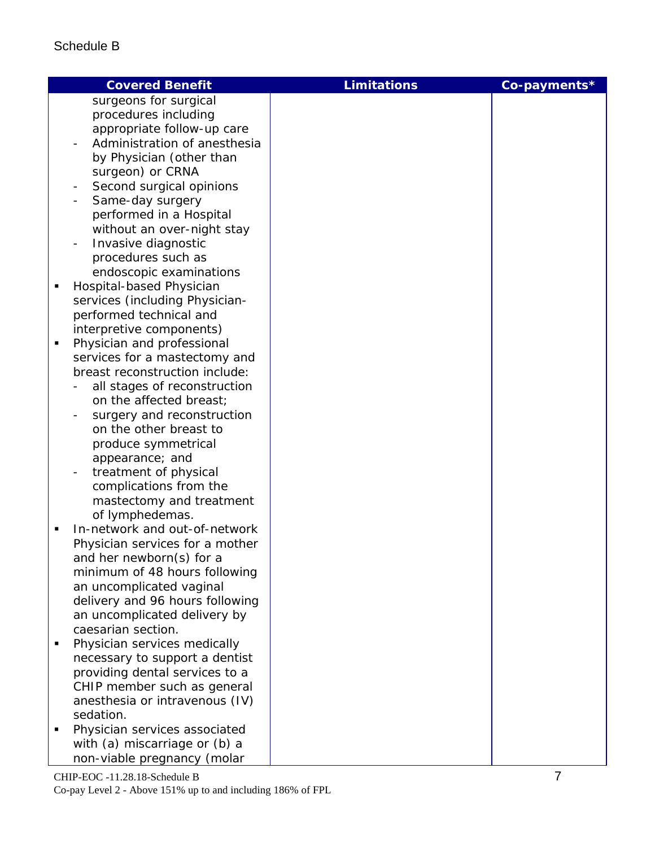|                | <b>Covered Benefit</b>          | <b>Limitations</b> | Co-payments* |
|----------------|---------------------------------|--------------------|--------------|
|                | surgeons for surgical           |                    |              |
|                | procedures including            |                    |              |
|                | appropriate follow-up care      |                    |              |
|                | Administration of anesthesia    |                    |              |
|                | by Physician (other than        |                    |              |
|                | surgeon) or CRNA                |                    |              |
|                | Second surgical opinions        |                    |              |
|                | Same-day surgery                |                    |              |
|                | performed in a Hospital         |                    |              |
|                | without an over-night stay      |                    |              |
|                | Invasive diagnostic             |                    |              |
|                | procedures such as              |                    |              |
|                | endoscopic examinations         |                    |              |
| Ξ              | Hospital-based Physician        |                    |              |
|                | services (including Physician-  |                    |              |
|                | performed technical and         |                    |              |
|                | interpretive components)        |                    |              |
| Ξ              | Physician and professional      |                    |              |
|                | services for a mastectomy and   |                    |              |
|                | breast reconstruction include:  |                    |              |
|                | all stages of reconstruction    |                    |              |
|                | on the affected breast;         |                    |              |
|                | surgery and reconstruction      |                    |              |
|                | on the other breast to          |                    |              |
|                | produce symmetrical             |                    |              |
|                | appearance; and                 |                    |              |
|                | treatment of physical           |                    |              |
|                | complications from the          |                    |              |
|                | mastectomy and treatment        |                    |              |
|                | of lymphedemas.                 |                    |              |
| ٠              | In-network and out-of-network   |                    |              |
|                | Physician services for a mother |                    |              |
|                | and her newborn(s) for a        |                    |              |
|                | minimum of 48 hours following   |                    |              |
|                | an uncomplicated vaginal        |                    |              |
|                | delivery and 96 hours following |                    |              |
|                | an uncomplicated delivery by    |                    |              |
|                | caesarian section.              |                    |              |
| $\blacksquare$ | Physician services medically    |                    |              |
|                | necessary to support a dentist  |                    |              |
|                | providing dental services to a  |                    |              |
|                | CHIP member such as general     |                    |              |
|                | anesthesia or intravenous (IV)  |                    |              |
|                | sedation.                       |                    |              |
| ٠              | Physician services associated   |                    |              |
|                | with (a) miscarriage or (b) a   |                    |              |
|                | non-viable pregnancy (molar     |                    |              |
|                |                                 |                    |              |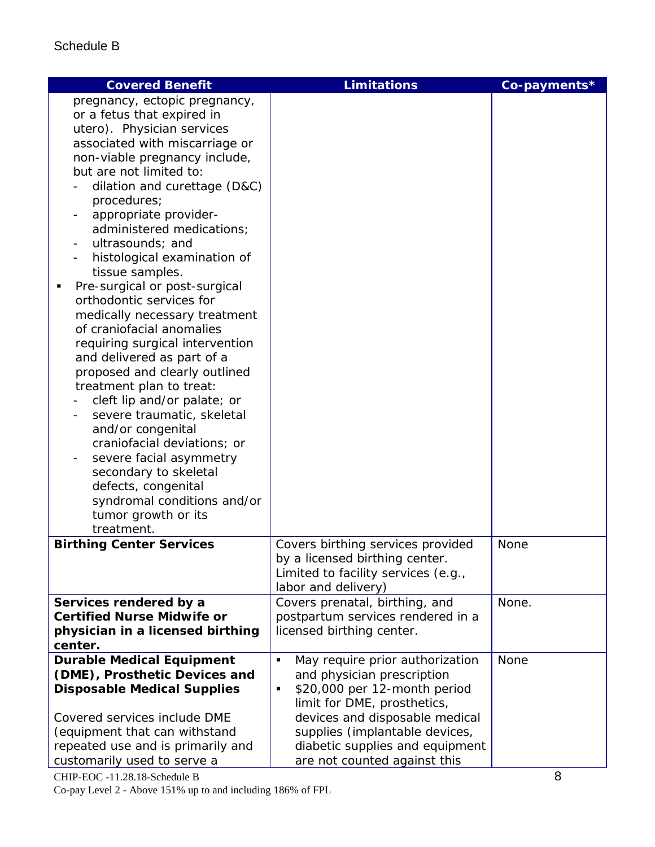| <b>Covered Benefit</b>                                                                                                                                                                                                                                                                                                                                                                                                                                                                                                                                                                                                                                                                                                                                                                                                                                                                                                  | <b>Limitations</b>                                                                                                                                                                                                                                                                         | Co-payments* |
|-------------------------------------------------------------------------------------------------------------------------------------------------------------------------------------------------------------------------------------------------------------------------------------------------------------------------------------------------------------------------------------------------------------------------------------------------------------------------------------------------------------------------------------------------------------------------------------------------------------------------------------------------------------------------------------------------------------------------------------------------------------------------------------------------------------------------------------------------------------------------------------------------------------------------|--------------------------------------------------------------------------------------------------------------------------------------------------------------------------------------------------------------------------------------------------------------------------------------------|--------------|
| pregnancy, ectopic pregnancy,<br>or a fetus that expired in<br>utero). Physician services<br>associated with miscarriage or<br>non-viable pregnancy include,<br>but are not limited to:<br>dilation and curettage (D&C)<br>procedures;<br>appropriate provider-<br>administered medications;<br>ultrasounds; and<br>histological examination of<br>tissue samples.<br>Pre-surgical or post-surgical<br>orthodontic services for<br>medically necessary treatment<br>of craniofacial anomalies<br>requiring surgical intervention<br>and delivered as part of a<br>proposed and clearly outlined<br>treatment plan to treat:<br>cleft lip and/or palate; or<br>severe traumatic, skeletal<br>and/or congenital<br>craniofacial deviations; or<br>severe facial asymmetry<br>$\overline{\phantom{a}}$<br>secondary to skeletal<br>defects, congenital<br>syndromal conditions and/or<br>tumor growth or its<br>treatment. |                                                                                                                                                                                                                                                                                            |              |
| <b>Birthing Center Services</b>                                                                                                                                                                                                                                                                                                                                                                                                                                                                                                                                                                                                                                                                                                                                                                                                                                                                                         | Covers birthing services provided<br>by a licensed birthing center.<br>Limited to facility services (e.g.,<br>labor and delivery)                                                                                                                                                          | <b>None</b>  |
| Services rendered by a<br><b>Certified Nurse Midwife or</b><br>physician in a licensed birthing<br>center.                                                                                                                                                                                                                                                                                                                                                                                                                                                                                                                                                                                                                                                                                                                                                                                                              | Covers prenatal, birthing, and<br>postpartum services rendered in a<br>licensed birthing center.                                                                                                                                                                                           | None.        |
| <b>Durable Medical Equipment</b><br>(DME), Prosthetic Devices and<br><b>Disposable Medical Supplies</b><br>Covered services include DME<br>(equipment that can withstand<br>repeated use and is primarily and<br>customarily used to serve a                                                                                                                                                                                                                                                                                                                                                                                                                                                                                                                                                                                                                                                                            | May require prior authorization<br>$\blacksquare$<br>and physician prescription<br>\$20,000 per 12-month period<br>٠<br>limit for DME, prosthetics,<br>devices and disposable medical<br>supplies (implantable devices,<br>diabetic supplies and equipment<br>are not counted against this | <b>None</b>  |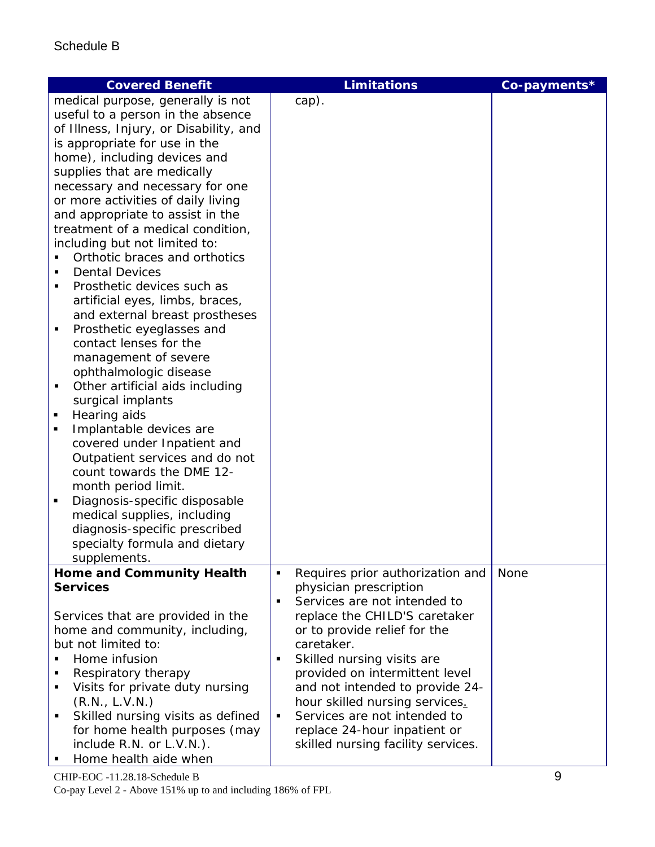| <b>Covered Benefit</b>                 | <b>Limitations</b>                             | Co-payments* |
|----------------------------------------|------------------------------------------------|--------------|
| medical purpose, generally is not      | cap).                                          |              |
| useful to a person in the absence      |                                                |              |
| of Illness, Injury, or Disability, and |                                                |              |
| is appropriate for use in the          |                                                |              |
| home), including devices and           |                                                |              |
| supplies that are medically            |                                                |              |
| necessary and necessary for one        |                                                |              |
| or more activities of daily living     |                                                |              |
| and appropriate to assist in the       |                                                |              |
| treatment of a medical condition,      |                                                |              |
| including but not limited to:          |                                                |              |
| Orthotic braces and orthotics          |                                                |              |
| <b>Dental Devices</b><br>٠             |                                                |              |
| Prosthetic devices such as<br>٠        |                                                |              |
| artificial eyes, limbs, braces,        |                                                |              |
| and external breast prostheses         |                                                |              |
| Prosthetic eyeglasses and<br>п         |                                                |              |
| contact lenses for the                 |                                                |              |
| management of severe                   |                                                |              |
| ophthalmologic disease                 |                                                |              |
| Other artificial aids including<br>٠   |                                                |              |
| surgical implants                      |                                                |              |
| Hearing aids                           |                                                |              |
| Implantable devices are<br>٠           |                                                |              |
| covered under Inpatient and            |                                                |              |
| Outpatient services and do not         |                                                |              |
| count towards the DME 12-              |                                                |              |
| month period limit.                    |                                                |              |
| Diagnosis-specific disposable<br>п     |                                                |              |
| medical supplies, including            |                                                |              |
| diagnosis-specific prescribed          |                                                |              |
| specialty formula and dietary          |                                                |              |
| supplements.                           |                                                |              |
| <b>Home and Community Health</b>       | Requires prior authorization and<br>٠          | None         |
| <b>Services</b>                        | physician prescription                         |              |
|                                        | Services are not intended to<br>$\blacksquare$ |              |
| Services that are provided in the      | replace the CHILD'S caretaker                  |              |
| home and community, including,         | or to provide relief for the                   |              |
| but not limited to:                    | caretaker.                                     |              |
| Home infusion                          | Skilled nursing visits are<br>$\blacksquare$   |              |
| Respiratory therapy<br>п               | provided on intermittent level                 |              |
| Visits for private duty nursing<br>٠   | and not intended to provide 24-                |              |
| (R.N., L.V.N.)                         | hour skilled nursing services.                 |              |
| Skilled nursing visits as defined<br>٠ | Services are not intended to<br>٠              |              |
| for home health purposes (may          | replace 24-hour inpatient or                   |              |
| include R.N. or L.V.N.).               | skilled nursing facility services.             |              |
| Home health aide when                  |                                                |              |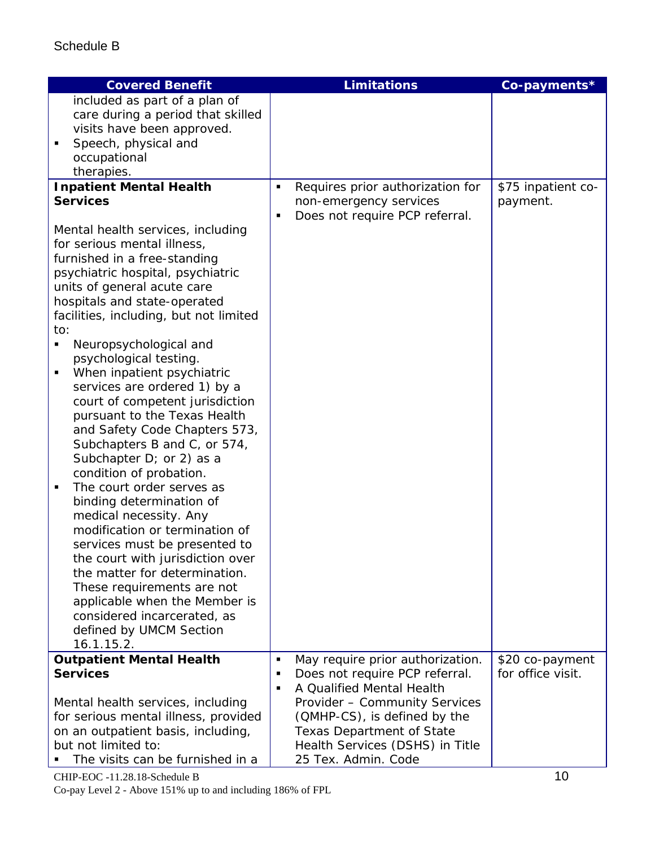| <b>Covered Benefit</b>                                            | <b>Limitations</b>                                                  | Co-payments*                         |
|-------------------------------------------------------------------|---------------------------------------------------------------------|--------------------------------------|
| included as part of a plan of                                     |                                                                     |                                      |
| care during a period that skilled<br>visits have been approved.   |                                                                     |                                      |
| Speech, physical and<br>٠                                         |                                                                     |                                      |
| occupational                                                      |                                                                     |                                      |
| therapies.                                                        |                                                                     |                                      |
| <b>Inpatient Mental Health</b>                                    | Requires prior authorization for<br>$\blacksquare$                  | \$75 inpatient co-                   |
| <b>Services</b>                                                   | non-emergency services<br>Does not require PCP referral.<br>٠       | payment.                             |
| Mental health services, including<br>for serious mental illness,  |                                                                     |                                      |
| furnished in a free-standing                                      |                                                                     |                                      |
| psychiatric hospital, psychiatric                                 |                                                                     |                                      |
| units of general acute care                                       |                                                                     |                                      |
| hospitals and state-operated                                      |                                                                     |                                      |
| facilities, including, but not limited<br>to:                     |                                                                     |                                      |
| Neuropsychological and<br>٠                                       |                                                                     |                                      |
| psychological testing.                                            |                                                                     |                                      |
| When inpatient psychiatric<br>٠                                   |                                                                     |                                      |
| services are ordered 1) by a                                      |                                                                     |                                      |
| court of competent jurisdiction<br>pursuant to the Texas Health   |                                                                     |                                      |
| and Safety Code Chapters 573,                                     |                                                                     |                                      |
| Subchapters B and C, or 574,                                      |                                                                     |                                      |
| Subchapter $D$ ; or 2) as a                                       |                                                                     |                                      |
| condition of probation.<br>The court order serves as<br>٠         |                                                                     |                                      |
| binding determination of                                          |                                                                     |                                      |
| medical necessity. Any                                            |                                                                     |                                      |
| modification or termination of                                    |                                                                     |                                      |
| services must be presented to                                     |                                                                     |                                      |
| the court with jurisdiction over<br>the matter for determination. |                                                                     |                                      |
| These requirements are not                                        |                                                                     |                                      |
| applicable when the Member is                                     |                                                                     |                                      |
| considered incarcerated, as                                       |                                                                     |                                      |
| defined by UMCM Section                                           |                                                                     |                                      |
| 16.1.15.2.<br><b>Outpatient Mental Health</b>                     | May require prior authorization.<br>٠                               |                                      |
| <b>Services</b>                                                   | Does not require PCP referral.<br>٠                                 | \$20 co-payment<br>for office visit. |
|                                                                   | A Qualified Mental Health<br>$\blacksquare$                         |                                      |
| Mental health services, including                                 | Provider - Community Services                                       |                                      |
| for serious mental illness, provided                              | (QMHP-CS), is defined by the                                        |                                      |
| on an outpatient basis, including,<br>but not limited to:         | <b>Texas Department of State</b><br>Health Services (DSHS) in Title |                                      |
| The visits can be furnished in a                                  | 25 Tex. Admin. Code                                                 |                                      |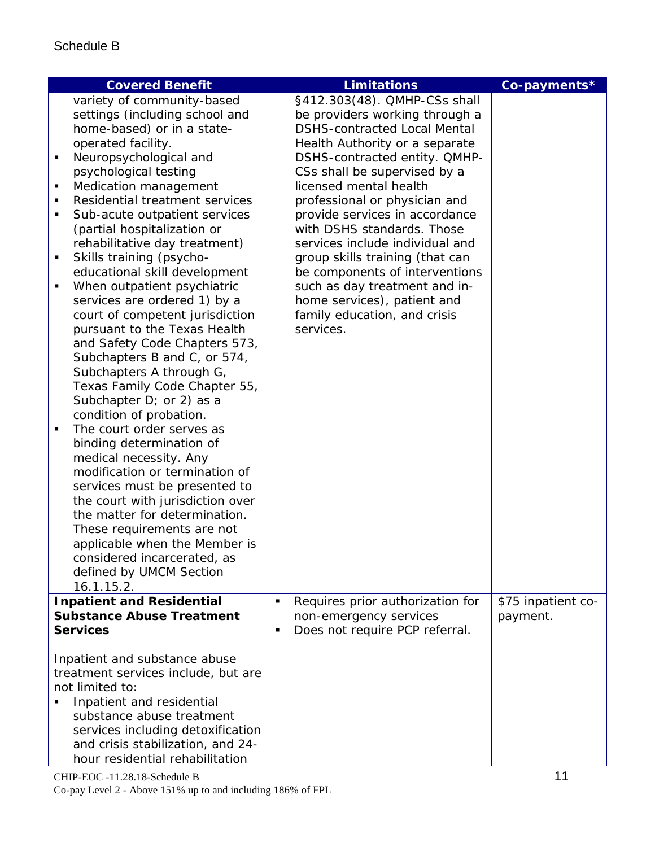|                | <b>Covered Benefit</b>                                                 |                | <b>Limitations</b>                                            | Co-payments*                   |
|----------------|------------------------------------------------------------------------|----------------|---------------------------------------------------------------|--------------------------------|
|                | variety of community-based                                             |                | §412.303(48). QMHP-CSs shall                                  |                                |
|                | settings (including school and                                         |                | be providers working through a                                |                                |
|                | home-based) or in a state-                                             |                | <b>DSHS-contracted Local Mental</b>                           |                                |
|                | operated facility.                                                     |                | Health Authority or a separate                                |                                |
| $\blacksquare$ | Neuropsychological and<br>psychological testing                        |                | DSHS-contracted entity. QMHP-<br>CSs shall be supervised by a |                                |
| ٠              | Medication management                                                  |                | licensed mental health                                        |                                |
| $\blacksquare$ | Residential treatment services                                         |                | professional or physician and                                 |                                |
| п              | Sub-acute outpatient services                                          |                | provide services in accordance                                |                                |
|                | (partial hospitalization or                                            |                | with DSHS standards. Those                                    |                                |
|                | rehabilitative day treatment)                                          |                | services include individual and                               |                                |
| ٠              | Skills training (psycho-                                               |                | group skills training (that can                               |                                |
|                | educational skill development                                          |                | be components of interventions                                |                                |
| ٠              | When outpatient psychiatric                                            |                | such as day treatment and in-                                 |                                |
|                | services are ordered 1) by a                                           |                | home services), patient and                                   |                                |
|                | court of competent jurisdiction<br>pursuant to the Texas Health        |                | family education, and crisis<br>services.                     |                                |
|                | and Safety Code Chapters 573,                                          |                |                                                               |                                |
|                | Subchapters B and C, or 574,                                           |                |                                                               |                                |
|                | Subchapters A through G,                                               |                |                                                               |                                |
|                | Texas Family Code Chapter 55,                                          |                |                                                               |                                |
|                | Subchapter $D$ ; or 2) as a                                            |                |                                                               |                                |
|                | condition of probation.                                                |                |                                                               |                                |
| ٠              | The court order serves as                                              |                |                                                               |                                |
|                | binding determination of                                               |                |                                                               |                                |
|                | medical necessity. Any<br>modification or termination of               |                |                                                               |                                |
|                | services must be presented to                                          |                |                                                               |                                |
|                | the court with jurisdiction over                                       |                |                                                               |                                |
|                | the matter for determination.                                          |                |                                                               |                                |
|                | These requirements are not                                             |                |                                                               |                                |
|                | applicable when the Member is                                          |                |                                                               |                                |
|                | considered incarcerated, as                                            |                |                                                               |                                |
|                | defined by UMCM Section                                                |                |                                                               |                                |
|                | 16.1.15.2.                                                             |                |                                                               |                                |
|                | <b>Inpatient and Residential</b><br><b>Substance Abuse Treatment</b>   | $\blacksquare$ | Requires prior authorization for<br>non-emergency services    | \$75 inpatient co-<br>payment. |
|                | <b>Services</b>                                                        | $\blacksquare$ | Does not require PCP referral.                                |                                |
|                |                                                                        |                |                                                               |                                |
|                | Inpatient and substance abuse                                          |                |                                                               |                                |
|                | treatment services include, but are                                    |                |                                                               |                                |
|                | not limited to:                                                        |                |                                                               |                                |
|                | Inpatient and residential                                              |                |                                                               |                                |
|                | substance abuse treatment                                              |                |                                                               |                                |
|                | services including detoxification<br>and crisis stabilization, and 24- |                |                                                               |                                |
|                | hour residential rehabilitation                                        |                |                                                               |                                |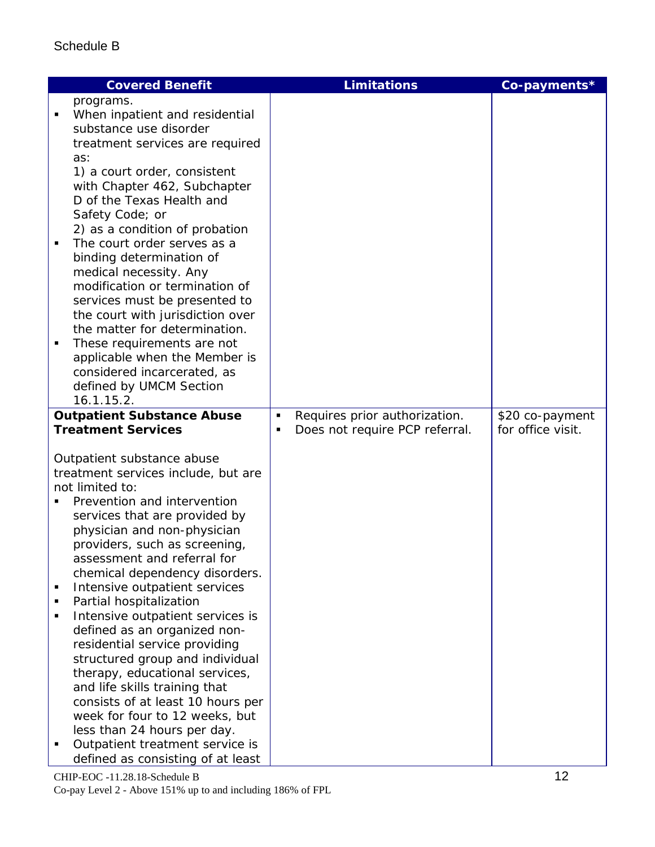| <b>Covered Benefit</b>                                            | <b>Limitations</b>                  | Co-payments*      |
|-------------------------------------------------------------------|-------------------------------------|-------------------|
| programs.                                                         |                                     |                   |
| When inpatient and residential                                    |                                     |                   |
| substance use disorder                                            |                                     |                   |
| treatment services are required                                   |                                     |                   |
| as:<br>1) a court order, consistent                               |                                     |                   |
| with Chapter 462, Subchapter                                      |                                     |                   |
| D of the Texas Health and                                         |                                     |                   |
| Safety Code; or                                                   |                                     |                   |
| 2) as a condition of probation                                    |                                     |                   |
| The court order serves as a                                       |                                     |                   |
| binding determination of                                          |                                     |                   |
| medical necessity. Any                                            |                                     |                   |
| modification or termination of                                    |                                     |                   |
| services must be presented to<br>the court with jurisdiction over |                                     |                   |
| the matter for determination.                                     |                                     |                   |
| These requirements are not<br>٠                                   |                                     |                   |
| applicable when the Member is                                     |                                     |                   |
| considered incarcerated, as                                       |                                     |                   |
| defined by UMCM Section                                           |                                     |                   |
| 16.1.15.2.                                                        |                                     |                   |
| <b>Outpatient Substance Abuse</b>                                 | Requires prior authorization.<br>٠  | \$20 co-payment   |
| <b>Treatment Services</b>                                         | Does not require PCP referral.<br>٠ | for office visit. |
| Outpatient substance abuse                                        |                                     |                   |
| treatment services include, but are                               |                                     |                   |
| not limited to:                                                   |                                     |                   |
| Prevention and intervention                                       |                                     |                   |
| services that are provided by                                     |                                     |                   |
| physician and non-physician                                       |                                     |                   |
| providers, such as screening,<br>assessment and referral for      |                                     |                   |
| chemical dependency disorders.                                    |                                     |                   |
| Intensive outpatient services<br>$\blacksquare$                   |                                     |                   |
| Partial hospitalization<br>٠                                      |                                     |                   |
| Intensive outpatient services is                                  |                                     |                   |
| defined as an organized non-                                      |                                     |                   |
| residential service providing                                     |                                     |                   |
| structured group and individual                                   |                                     |                   |
| therapy, educational services,<br>and life skills training that   |                                     |                   |
| consists of at least 10 hours per                                 |                                     |                   |
| week for four to 12 weeks, but                                    |                                     |                   |
| less than 24 hours per day.                                       |                                     |                   |
| Outpatient treatment service is                                   |                                     |                   |
| defined as consisting of at least                                 |                                     |                   |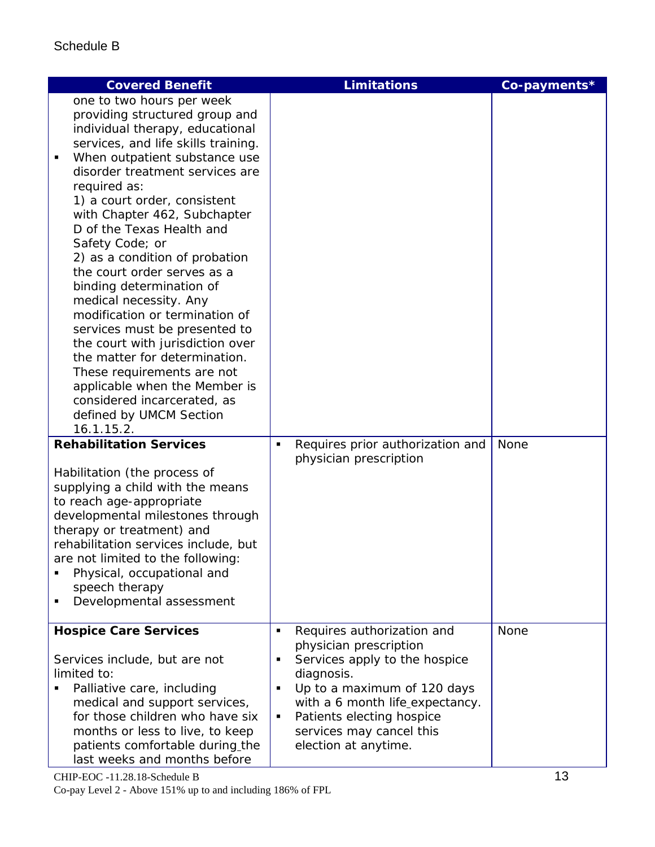| <b>Covered Benefit</b>                                          | <b>Limitations</b>                               | Co-payments* |
|-----------------------------------------------------------------|--------------------------------------------------|--------------|
| one to two hours per week                                       |                                                  |              |
| providing structured group and                                  |                                                  |              |
| individual therapy, educational                                 |                                                  |              |
| services, and life skills training.                             |                                                  |              |
| When outpatient substance use<br>$\blacksquare$                 |                                                  |              |
| disorder treatment services are                                 |                                                  |              |
| required as:                                                    |                                                  |              |
| 1) a court order, consistent<br>with Chapter 462, Subchapter    |                                                  |              |
| D of the Texas Health and                                       |                                                  |              |
| Safety Code; or                                                 |                                                  |              |
| 2) as a condition of probation                                  |                                                  |              |
| the court order serves as a                                     |                                                  |              |
| binding determination of                                        |                                                  |              |
| medical necessity. Any                                          |                                                  |              |
| modification or termination of                                  |                                                  |              |
| services must be presented to                                   |                                                  |              |
| the court with jurisdiction over                                |                                                  |              |
| the matter for determination.                                   |                                                  |              |
| These requirements are not                                      |                                                  |              |
| applicable when the Member is<br>considered incarcerated, as    |                                                  |              |
| defined by UMCM Section                                         |                                                  |              |
| 16.1.15.2.                                                      |                                                  |              |
| <b>Rehabilitation Services</b>                                  | Requires prior authorization and<br>٠            | None         |
|                                                                 | physician prescription                           |              |
| Habilitation (the process of                                    |                                                  |              |
| supplying a child with the means                                |                                                  |              |
| to reach age-appropriate                                        |                                                  |              |
| developmental milestones through                                |                                                  |              |
| therapy or treatment) and                                       |                                                  |              |
| rehabilitation services include, but                            |                                                  |              |
| are not limited to the following:                               |                                                  |              |
| Physical, occupational and                                      |                                                  |              |
| speech therapy<br>Developmental assessment                      |                                                  |              |
|                                                                 |                                                  |              |
| <b>Hospice Care Services</b>                                    | Requires authorization and<br>$\blacksquare$     | None         |
|                                                                 | physician prescription                           |              |
| Services include, but are not                                   | Services apply to the hospice<br>٠               |              |
| limited to:                                                     | diagnosis.                                       |              |
| Palliative care, including                                      | Up to a maximum of 120 days<br>٠                 |              |
| medical and support services,                                   | with a 6 month life_expectancy.                  |              |
| for those children who have six                                 | Patients electing hospice<br>٠                   |              |
| months or less to live, to keep                                 | services may cancel this<br>election at anytime. |              |
| patients comfortable during the<br>last weeks and months before |                                                  |              |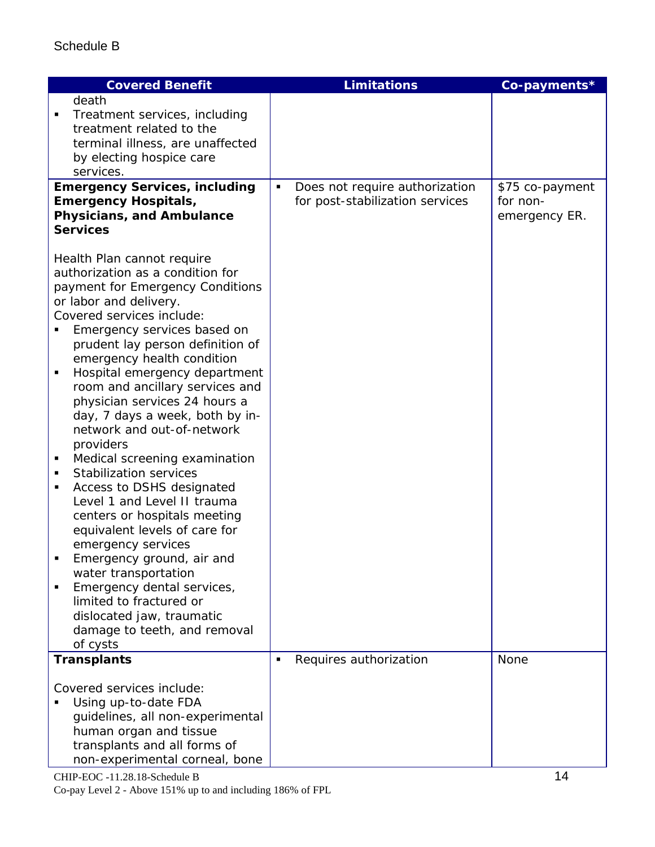| <b>Covered Benefit</b>                                                                                                                                                                                                                                                                                                                                                                                                                                                                                                                                                                                                                                                                                                                                                                                                                                                                          | <b>Limitations</b>                                                     | Co-payments*                                 |
|-------------------------------------------------------------------------------------------------------------------------------------------------------------------------------------------------------------------------------------------------------------------------------------------------------------------------------------------------------------------------------------------------------------------------------------------------------------------------------------------------------------------------------------------------------------------------------------------------------------------------------------------------------------------------------------------------------------------------------------------------------------------------------------------------------------------------------------------------------------------------------------------------|------------------------------------------------------------------------|----------------------------------------------|
| death<br>Treatment services, including<br>п<br>treatment related to the<br>terminal illness, are unaffected<br>by electing hospice care                                                                                                                                                                                                                                                                                                                                                                                                                                                                                                                                                                                                                                                                                                                                                         |                                                                        |                                              |
| services.                                                                                                                                                                                                                                                                                                                                                                                                                                                                                                                                                                                                                                                                                                                                                                                                                                                                                       |                                                                        |                                              |
| <b>Emergency Services, including</b><br><b>Emergency Hospitals,</b><br>Physicians, and Ambulance<br><b>Services</b>                                                                                                                                                                                                                                                                                                                                                                                                                                                                                                                                                                                                                                                                                                                                                                             | Does not require authorization<br>٠<br>for post-stabilization services | \$75 co-payment<br>for non-<br>emergency ER. |
| Health Plan cannot require<br>authorization as a condition for<br>payment for Emergency Conditions<br>or labor and delivery.<br>Covered services include:<br>Emergency services based on<br>prudent lay person definition of<br>emergency health condition<br>Hospital emergency department<br>٠<br>room and ancillary services and<br>physician services 24 hours a<br>day, 7 days a week, both by in-<br>network and out-of-network<br>providers<br>Medical screening examination<br>п<br><b>Stabilization services</b><br>$\blacksquare$<br>Access to DSHS designated<br>٠<br>Level 1 and Level II trauma<br>centers or hospitals meeting<br>equivalent levels of care for<br>emergency services<br>Emergency ground, air and<br>water transportation<br>Emergency dental services,<br>٠<br>limited to fractured or<br>dislocated jaw, traumatic<br>damage to teeth, and removal<br>of cysts |                                                                        |                                              |
| <b>Transplants</b>                                                                                                                                                                                                                                                                                                                                                                                                                                                                                                                                                                                                                                                                                                                                                                                                                                                                              | Requires authorization<br>٠                                            | <b>None</b>                                  |
| Covered services include:<br>Using up-to-date FDA<br>guidelines, all non-experimental<br>human organ and tissue<br>transplants and all forms of<br>non-experimental corneal, bone                                                                                                                                                                                                                                                                                                                                                                                                                                                                                                                                                                                                                                                                                                               |                                                                        |                                              |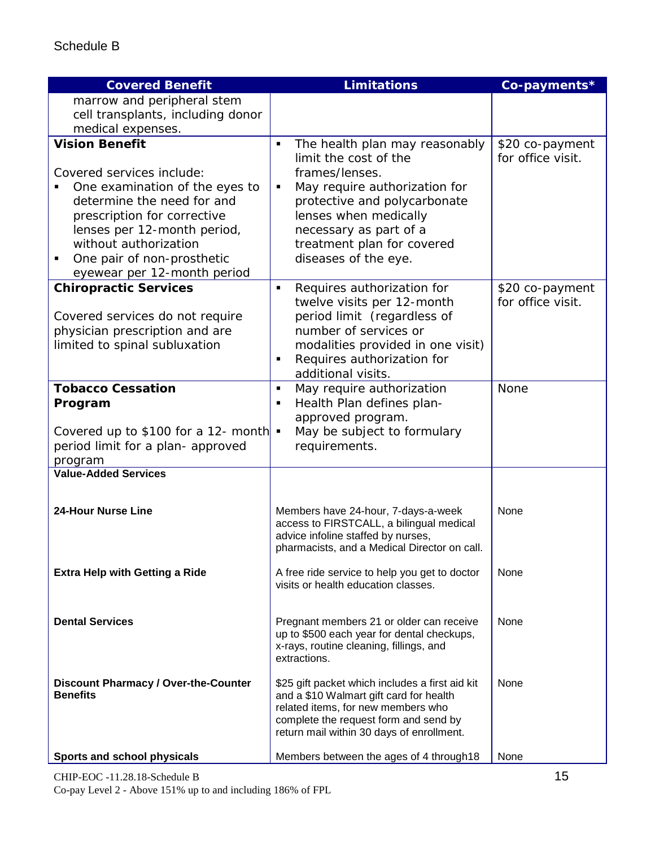| <b>Covered Benefit</b>                                                                                                                                                                                                                                                      | <b>Limitations</b>                                                                                                                                                                                                                                                         | Co-payments*                         |
|-----------------------------------------------------------------------------------------------------------------------------------------------------------------------------------------------------------------------------------------------------------------------------|----------------------------------------------------------------------------------------------------------------------------------------------------------------------------------------------------------------------------------------------------------------------------|--------------------------------------|
| marrow and peripheral stem                                                                                                                                                                                                                                                  |                                                                                                                                                                                                                                                                            |                                      |
| cell transplants, including donor                                                                                                                                                                                                                                           |                                                                                                                                                                                                                                                                            |                                      |
| medical expenses.                                                                                                                                                                                                                                                           |                                                                                                                                                                                                                                                                            |                                      |
| <b>Vision Benefit</b><br>Covered services include:<br>One examination of the eyes to<br>determine the need for and<br>prescription for corrective<br>lenses per 12-month period,<br>without authorization<br>One pair of non-prosthetic<br>٠<br>eyewear per 12-month period | The health plan may reasonably<br>٠<br>limit the cost of the<br>frames/lenses.<br>May require authorization for<br>$\blacksquare$<br>protective and polycarbonate<br>lenses when medically<br>necessary as part of a<br>treatment plan for covered<br>diseases of the eye. | \$20 co-payment<br>for office visit. |
| <b>Chiropractic Services</b>                                                                                                                                                                                                                                                | Requires authorization for<br>$\blacksquare$<br>twelve visits per 12-month                                                                                                                                                                                                 | \$20 co-payment<br>for office visit. |
| Covered services do not require<br>physician prescription and are                                                                                                                                                                                                           | period limit (regardless of<br>number of services or                                                                                                                                                                                                                       |                                      |
| limited to spinal subluxation                                                                                                                                                                                                                                               | modalities provided in one visit)                                                                                                                                                                                                                                          |                                      |
|                                                                                                                                                                                                                                                                             | Requires authorization for<br>п<br>additional visits.                                                                                                                                                                                                                      |                                      |
| <b>Tobacco Cessation</b>                                                                                                                                                                                                                                                    | May require authorization<br>$\blacksquare$                                                                                                                                                                                                                                | <b>None</b>                          |
| Program                                                                                                                                                                                                                                                                     | Health Plan defines plan-                                                                                                                                                                                                                                                  |                                      |
|                                                                                                                                                                                                                                                                             | approved program.                                                                                                                                                                                                                                                          |                                      |
| Covered up to \$100 for a 12- month<br>period limit for a plan- approved                                                                                                                                                                                                    | May be subject to formulary<br>$\blacksquare$<br>requirements.                                                                                                                                                                                                             |                                      |
| program                                                                                                                                                                                                                                                                     |                                                                                                                                                                                                                                                                            |                                      |
| <b>Value-Added Services</b>                                                                                                                                                                                                                                                 |                                                                                                                                                                                                                                                                            |                                      |
|                                                                                                                                                                                                                                                                             |                                                                                                                                                                                                                                                                            |                                      |
| <b>24-Hour Nurse Line</b>                                                                                                                                                                                                                                                   | Members have 24-hour, 7-days-a-week<br>access to FIRSTCALL, a bilingual medical<br>advice infoline staffed by nurses,<br>pharmacists, and a Medical Director on call.                                                                                                      | None                                 |
| <b>Extra Help with Getting a Ride</b>                                                                                                                                                                                                                                       | A free ride service to help you get to doctor<br>visits or health education classes.                                                                                                                                                                                       | None                                 |
| <b>Dental Services</b>                                                                                                                                                                                                                                                      | Pregnant members 21 or older can receive<br>up to \$500 each year for dental checkups,<br>x-rays, routine cleaning, fillings, and<br>extractions.                                                                                                                          | None                                 |
| <b>Discount Pharmacy / Over-the-Counter</b><br><b>Benefits</b>                                                                                                                                                                                                              | \$25 gift packet which includes a first aid kit<br>and a \$10 Walmart gift card for health<br>related items, for new members who<br>complete the request form and send by<br>return mail within 30 days of enrollment.                                                     | None                                 |
| Sports and school physicals                                                                                                                                                                                                                                                 | Members between the ages of 4 through 18                                                                                                                                                                                                                                   | None                                 |

CHIP-EOC -11.28.18-Schedule B 15 Co-pay Level 2 - Above 151% up to and including 186% of FPL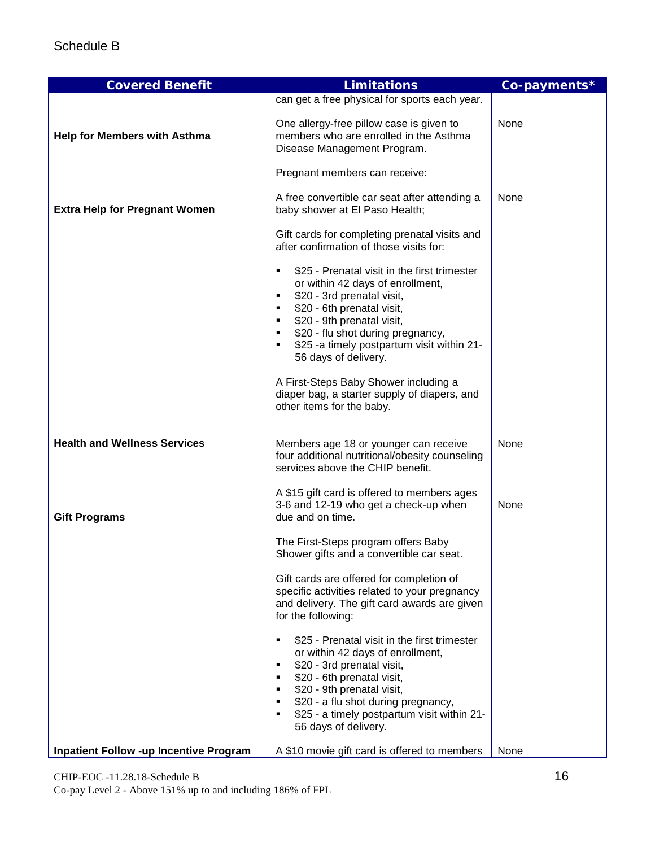| <b>Covered Benefit</b>                        | <b>Limitations</b>                                                                                                                                                                                                                                                                                                                                                                                          | Co-payments* |
|-----------------------------------------------|-------------------------------------------------------------------------------------------------------------------------------------------------------------------------------------------------------------------------------------------------------------------------------------------------------------------------------------------------------------------------------------------------------------|--------------|
|                                               | can get a free physical for sports each year.                                                                                                                                                                                                                                                                                                                                                               |              |
| <b>Help for Members with Asthma</b>           | One allergy-free pillow case is given to<br>members who are enrolled in the Asthma<br>Disease Management Program.                                                                                                                                                                                                                                                                                           | None         |
|                                               | Pregnant members can receive:                                                                                                                                                                                                                                                                                                                                                                               |              |
| <b>Extra Help for Pregnant Women</b>          | A free convertible car seat after attending a<br>baby shower at El Paso Health;                                                                                                                                                                                                                                                                                                                             | None         |
|                                               | Gift cards for completing prenatal visits and<br>after confirmation of those visits for:                                                                                                                                                                                                                                                                                                                    |              |
|                                               | \$25 - Prenatal visit in the first trimester<br>or within 42 days of enrollment,<br>\$20 - 3rd prenatal visit,<br>\$20 - 6th prenatal visit,<br>\$20 - 9th prenatal visit,<br>\$20 - flu shot during pregnancy,<br>\$25 -a timely postpartum visit within 21-<br>56 days of delivery.<br>A First-Steps Baby Shower including a<br>diaper bag, a starter supply of diapers, and<br>other items for the baby. |              |
| <b>Health and Wellness Services</b>           | Members age 18 or younger can receive<br>four additional nutritional/obesity counseling<br>services above the CHIP benefit.                                                                                                                                                                                                                                                                                 | None         |
| <b>Gift Programs</b>                          | A \$15 gift card is offered to members ages<br>3-6 and 12-19 who get a check-up when<br>due and on time.                                                                                                                                                                                                                                                                                                    | None         |
|                                               | The First-Steps program offers Baby<br>Shower gifts and a convertible car seat.                                                                                                                                                                                                                                                                                                                             |              |
|                                               | Gift cards are offered for completion of<br>specific activities related to your pregnancy<br>and delivery. The gift card awards are given<br>for the following:                                                                                                                                                                                                                                             |              |
|                                               | \$25 - Prenatal visit in the first trimester<br>٠<br>or within 42 days of enrollment,<br>\$20 - 3rd prenatal visit,<br>\$20 - 6th prenatal visit,<br>\$20 - 9th prenatal visit,<br>\$20 - a flu shot during pregnancy,<br>\$25 - a timely postpartum visit within 21-<br>56 days of delivery.                                                                                                               |              |
| <b>Inpatient Follow -up Incentive Program</b> | A \$10 movie gift card is offered to members                                                                                                                                                                                                                                                                                                                                                                | None         |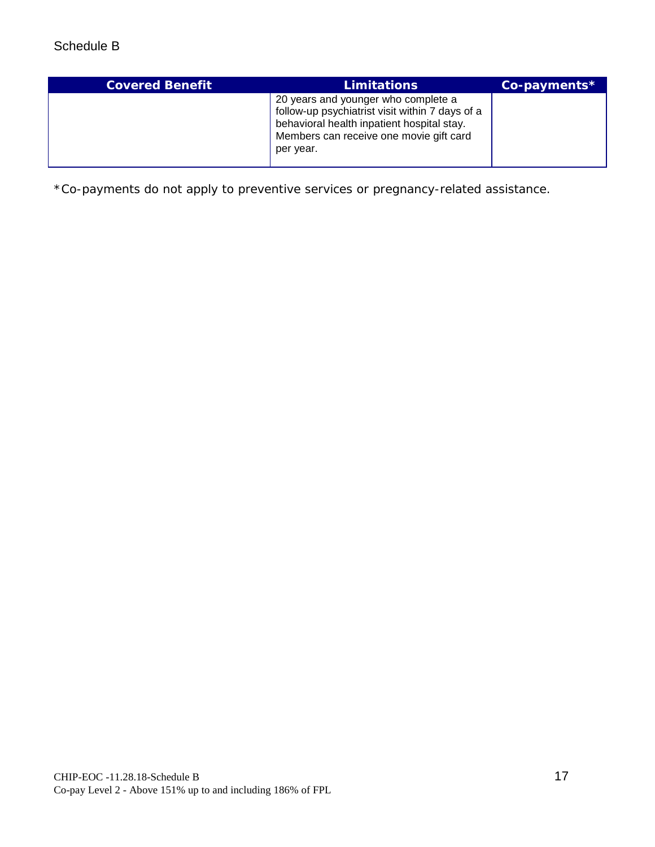| <b>Covered Benefit</b> | <b>Limitations</b>                                                                                                                                                                           | Co-payments* |
|------------------------|----------------------------------------------------------------------------------------------------------------------------------------------------------------------------------------------|--------------|
|                        | 20 years and younger who complete a<br>follow-up psychiatrist visit within 7 days of a<br>behavioral health inpatient hospital stay.<br>Members can receive one movie gift card<br>per year. |              |

\*Co-payments do not apply to preventive services or pregnancy-related assistance.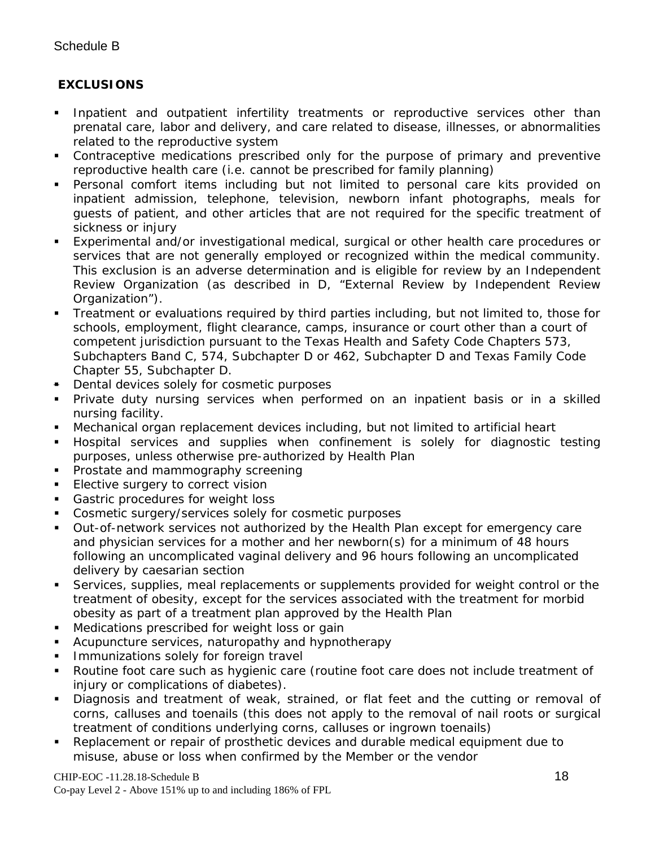## **EXCLUSIONS**

- Inpatient and outpatient infertility treatments or reproductive services other than prenatal care, labor and delivery, and care related to disease, illnesses, or abnormalities related to the reproductive system
- Contraceptive medications prescribed only for the purpose of primary and preventive reproductive health care (i.e. cannot be prescribed for family planning)
- Personal comfort items including but not limited to personal care kits provided on inpatient admission, telephone, television, newborn infant photographs, meals for guests of patient, and other articles that are not required for the specific treatment of sickness or injury
- Experimental and/or investigational medical, surgical or other health care procedures or services that are not generally employed or recognized within the medical community. This exclusion is an adverse determination and is eligible for review by an Independent Review Organization (as described in D, "External Review by Independent Review Organization").
- Treatment or evaluations required by third parties including, but not limited to, those for schools, employment, flight clearance, camps, insurance or court other than a court of competent jurisdiction pursuant to the Texas Health and Safety Code Chapters 573, Subchapters Band C, 574, Subchapter D or 462, Subchapter D and Texas Family Code Chapter 55, Subchapter D.
- **Dental devices solely for cosmetic purposes**
- Private duty nursing services when performed on an inpatient basis or in a skilled nursing facility.
- Mechanical organ replacement devices including, but not limited to artificial heart
- Hospital services and supplies when confinement is solely for diagnostic testing purposes, unless otherwise pre-authorized by Health Plan
- **Prostate and mammography screening**
- **Elective surgery to correct vision**
- Gastric procedures for weight loss
- Cosmetic surgery/services solely for cosmetic purposes
- Out-of-network services not authorized by the Health Plan except for emergency care and physician services for a mother and her newborn(s) for a minimum of 48 hours following an uncomplicated vaginal delivery and 96 hours following an uncomplicated delivery by caesarian section
- Services, supplies, meal replacements or supplements provided for weight control or the treatment of obesity, except for the services associated with the treatment for morbid obesity as part of a treatment plan approved by the Health Plan
- **Medications prescribed for weight loss or gain**
- Acupuncture services, naturopathy and hypnotherapy
- Immunizations solely for foreign travel
- Routine foot care such as hygienic care (routine foot care does not include treatment of injury or complications of diabetes).
- Diagnosis and treatment of weak, strained, or flat feet and the cutting or removal of corns, calluses and toenails (this does not apply to the removal of nail roots or surgical treatment of conditions underlying corns, calluses or ingrown toenails)
- Replacement or repair of prosthetic devices and durable medical equipment due to misuse, abuse or loss when confirmed by the Member or the vendor

#### CHIP-EOC -11.28.18-Schedule B 18

Co-pay Level 2 - Above 151% up to and including 186% of FPL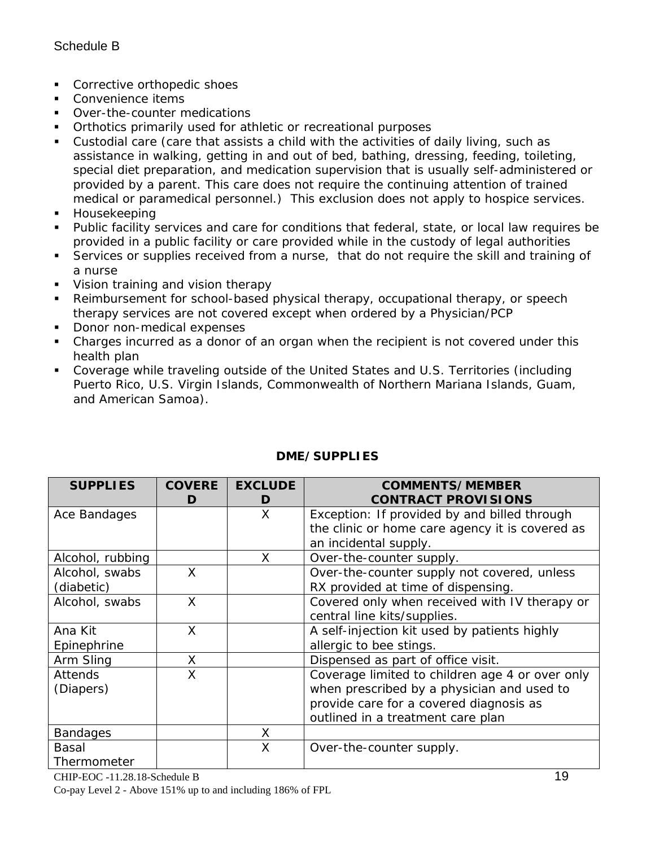- **Corrective orthopedic shoes**
- Convenience items
- Over-the-counter medications
- **•** Orthotics primarily used for athletic or recreational purposes
- Custodial care (care that assists a child with the activities of daily living, such as assistance in walking, getting in and out of bed, bathing, dressing, feeding, toileting, special diet preparation, and medication supervision that is usually self-administered or provided by a parent. This care does not require the continuing attention of trained medical or paramedical personnel.) This exclusion does not apply to hospice services.
- **Housekeeping**
- Public facility services and care for conditions that federal, state, or local law requires be provided in a public facility or care provided while in the custody of legal authorities
- Services or supplies received from a nurse, that do not require the skill and training of a nurse
- **Vision training and vision therapy**
- Reimbursement for school-based physical therapy, occupational therapy, or speech therapy services are not covered except when ordered by a Physician/PCP
- Donor non-medical expenses
- Charges incurred as a donor of an organ when the recipient is not covered under this health plan
- Coverage while traveling outside of the United States and U.S. Territories (including Puerto Rico, U.S. Virgin Islands, Commonwealth of Northern Mariana Islands, Guam, and American Samoa).

| <b>SUPPLIES</b>  | <b>COVERE</b><br>D | <b>EXCLUDE</b><br>D | <b>COMMENTS/MEMBER</b><br><b>CONTRACT PROVISIONS</b> |
|------------------|--------------------|---------------------|------------------------------------------------------|
| Ace Bandages     |                    | X                   | Exception: If provided by and billed through         |
|                  |                    |                     | the clinic or home care agency it is covered as      |
|                  |                    |                     | an incidental supply.                                |
| Alcohol, rubbing |                    | X                   | Over-the-counter supply.                             |
| Alcohol, swabs   | X                  |                     | Over-the-counter supply not covered, unless          |
| (diabetic)       |                    |                     | RX provided at time of dispensing.                   |
| Alcohol, swabs   | X                  |                     | Covered only when received with IV therapy or        |
|                  |                    |                     | central line kits/supplies.                          |
| Ana Kit          | X                  |                     | A self-injection kit used by patients highly         |
| Epinephrine      |                    |                     | allergic to bee stings.                              |
| Arm Sling        | X                  |                     | Dispensed as part of office visit.                   |
| <b>Attends</b>   | X                  |                     | Coverage limited to children age 4 or over only      |
| (Diapers)        |                    |                     | when prescribed by a physician and used to           |
|                  |                    |                     | provide care for a covered diagnosis as              |
|                  |                    |                     | outlined in a treatment care plan                    |
| <b>Bandages</b>  |                    | X                   |                                                      |
| Basal            |                    | X                   | Over-the-counter supply.                             |
| Thermometer      |                    |                     |                                                      |

# **DME/SUPPLIES**

CHIP-EOC -11.28.18-Schedule B 19 Co-pay Level 2 - Above 151% up to and including 186% of FPL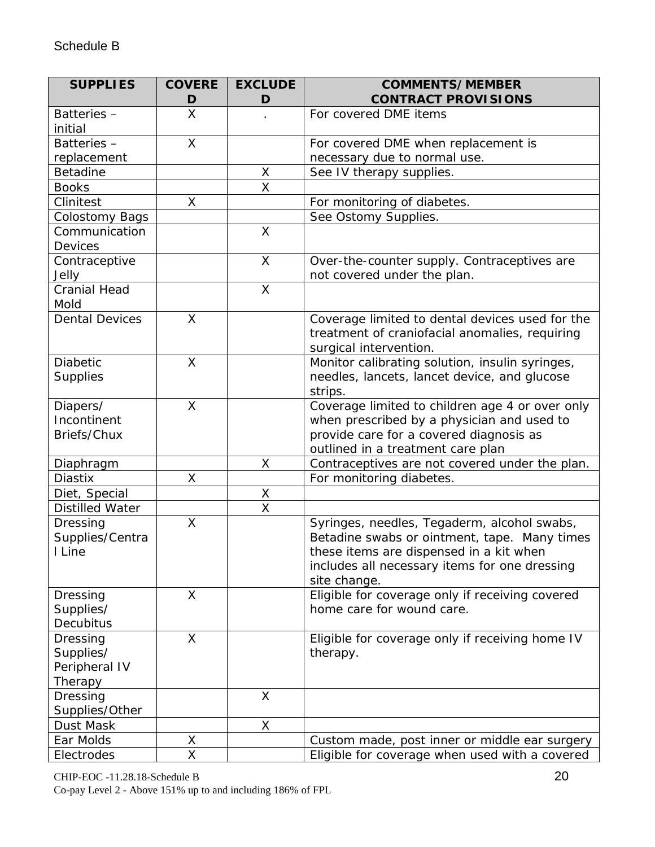| <b>SUPPLIES</b>                                   | <b>COVERE</b><br>D | <b>EXCLUDE</b><br>D     | <b>COMMENTS/MEMBER</b><br><b>CONTRACT PROVISIONS</b>                                                                                                                                                    |
|---------------------------------------------------|--------------------|-------------------------|---------------------------------------------------------------------------------------------------------------------------------------------------------------------------------------------------------|
| Batteries-<br>initial                             | X                  |                         | For covered DME items                                                                                                                                                                                   |
| Batteries-                                        | X                  |                         | For covered DME when replacement is                                                                                                                                                                     |
| replacement                                       |                    |                         | necessary due to normal use.                                                                                                                                                                            |
| <b>Betadine</b>                                   |                    | X                       | See IV therapy supplies.                                                                                                                                                                                |
| <b>Books</b>                                      |                    | $\overline{\mathsf{x}}$ |                                                                                                                                                                                                         |
| Clinitest                                         | X                  |                         | For monitoring of diabetes.                                                                                                                                                                             |
| <b>Colostomy Bags</b>                             |                    |                         | See Ostomy Supplies.                                                                                                                                                                                    |
| Communication<br>Devices                          |                    | X                       |                                                                                                                                                                                                         |
| Contraceptive<br>Jelly                            |                    | X                       | Over-the-counter supply. Contraceptives are<br>not covered under the plan.                                                                                                                              |
| <b>Cranial Head</b><br>Mold                       |                    | $\mathsf{X}$            |                                                                                                                                                                                                         |
| <b>Dental Devices</b>                             | X                  |                         | Coverage limited to dental devices used for the<br>treatment of craniofacial anomalies, requiring<br>surgical intervention.                                                                             |
| <b>Diabetic</b><br><b>Supplies</b>                | X                  |                         | Monitor calibrating solution, insulin syringes,<br>needles, lancets, lancet device, and glucose<br>strips.                                                                                              |
| Diapers/<br>Incontinent<br>Briefs/Chux            | X                  |                         | Coverage limited to children age 4 or over only<br>when prescribed by a physician and used to<br>provide care for a covered diagnosis as<br>outlined in a treatment care plan                           |
| Diaphragm                                         |                    | X                       | Contraceptives are not covered under the plan.                                                                                                                                                          |
| <b>Diastix</b>                                    | Χ                  |                         | For monitoring diabetes.                                                                                                                                                                                |
| Diet, Special                                     |                    | X                       |                                                                                                                                                                                                         |
| <b>Distilled Water</b>                            |                    | $\overline{\mathsf{x}}$ |                                                                                                                                                                                                         |
| Dressing<br>Supplies/Centra<br>I Line             | X                  |                         | Syringes, needles, Tegaderm, alcohol swabs,<br>Betadine swabs or ointment, tape. Many times<br>these items are dispensed in a kit when<br>includes all necessary items for one dressing<br>site change. |
| Dressing<br>Supplies/<br>Decubitus                | X                  |                         | Eligible for coverage only if receiving covered<br>home care for wound care.                                                                                                                            |
| Dressing<br>Supplies/<br>Peripheral IV<br>Therapy | $\times$           |                         | Eligible for coverage only if receiving home IV<br>therapy.                                                                                                                                             |
| Dressing<br>Supplies/Other                        |                    | $\sf X$                 |                                                                                                                                                                                                         |
| Dust Mask                                         |                    | X                       |                                                                                                                                                                                                         |
| Ear Molds                                         | Χ                  |                         | Custom made, post inner or middle ear surgery                                                                                                                                                           |
| Electrodes                                        | X                  |                         | Eligible for coverage when used with a covered                                                                                                                                                          |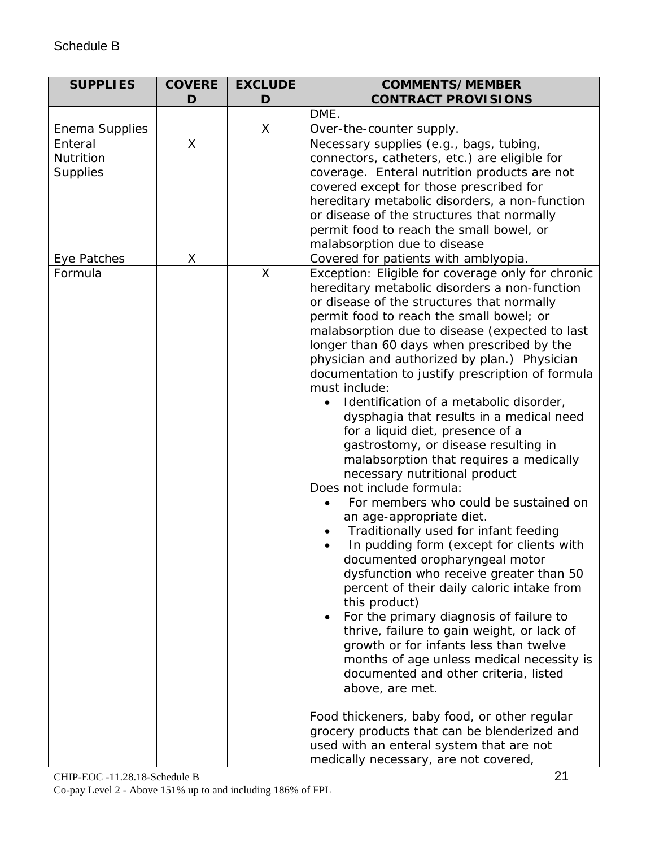# Schedule B

| <b>SUPPLIES</b> | <b>COVERE</b>           | <b>EXCLUDE</b> | <b>COMMENTS/MEMBER</b>                                                              |
|-----------------|-------------------------|----------------|-------------------------------------------------------------------------------------|
|                 | D                       | D              | <b>CONTRACT PROVISIONS</b>                                                          |
|                 |                         |                | DME.                                                                                |
| Enema Supplies  |                         | X              | Over-the-counter supply.                                                            |
| Enteral         | $\overline{\mathsf{X}}$ |                | Necessary supplies (e.g., bags, tubing,                                             |
| Nutrition       |                         |                | connectors, catheters, etc.) are eligible for                                       |
| Supplies        |                         |                | coverage. Enteral nutrition products are not                                        |
|                 |                         |                | covered except for those prescribed for                                             |
|                 |                         |                | hereditary metabolic disorders, a non-function                                      |
|                 |                         |                | or disease of the structures that normally                                          |
|                 |                         |                | permit food to reach the small bowel, or                                            |
|                 |                         |                | malabsorption due to disease                                                        |
| Eye Patches     | X                       |                | Covered for patients with amblyopia.                                                |
| Formula         |                         | $\mathsf{X}$   | Exception: Eligible for coverage only for chronic                                   |
|                 |                         |                | hereditary metabolic disorders a non-function                                       |
|                 |                         |                | or disease of the structures that normally                                          |
|                 |                         |                | permit food to reach the small bowel; or                                            |
|                 |                         |                | malabsorption due to disease (expected to last                                      |
|                 |                         |                | longer than 60 days when prescribed by the                                          |
|                 |                         |                | physician and_authorized by plan.) Physician                                        |
|                 |                         |                | documentation to justify prescription of formula                                    |
|                 |                         |                | must include:                                                                       |
|                 |                         |                | Identification of a metabolic disorder,                                             |
|                 |                         |                | dysphagia that results in a medical need                                            |
|                 |                         |                | for a liquid diet, presence of a                                                    |
|                 |                         |                | gastrostomy, or disease resulting in                                                |
|                 |                         |                | malabsorption that requires a medically                                             |
|                 |                         |                | necessary nutritional product<br>Does not include formula:                          |
|                 |                         |                | For members who could be sustained on                                               |
|                 |                         |                |                                                                                     |
|                 |                         |                | an age-appropriate diet.<br>Traditionally used for infant feeding                   |
|                 |                         |                |                                                                                     |
|                 |                         |                | In pudding form (except for clients with                                            |
|                 |                         |                | documented oropharyngeal motor                                                      |
|                 |                         |                | dysfunction who receive greater than 50                                             |
|                 |                         |                | percent of their daily caloric intake from<br>this product)                         |
|                 |                         |                | For the primary diagnosis of failure to                                             |
|                 |                         |                | thrive, failure to gain weight, or lack of                                          |
|                 |                         |                |                                                                                     |
|                 |                         |                | growth or for infants less than twelve<br>months of age unless medical necessity is |
|                 |                         |                | documented and other criteria, listed                                               |
|                 |                         |                | above, are met.                                                                     |
|                 |                         |                |                                                                                     |
|                 |                         |                | Food thickeners, baby food, or other regular                                        |
|                 |                         |                | grocery products that can be blenderized and                                        |
|                 |                         |                | used with an enteral system that are not                                            |
|                 |                         |                | medically necessary, are not covered,                                               |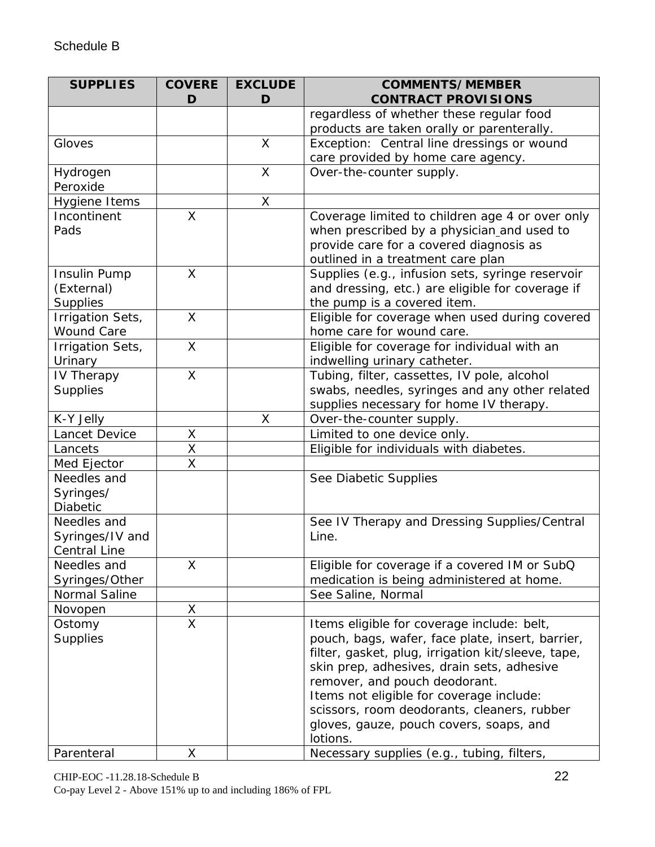| <b>SUPPLIES</b>       | <b>COVERE</b>           | <b>EXCLUDE</b> | <b>COMMENTS/MEMBER</b>                                                      |
|-----------------------|-------------------------|----------------|-----------------------------------------------------------------------------|
|                       | D                       | D              | <b>CONTRACT PROVISIONS</b>                                                  |
|                       |                         |                | regardless of whether these regular food                                    |
|                       |                         |                | products are taken orally or parenterally.                                  |
| Gloves                |                         | X              | Exception: Central line dressings or wound                                  |
|                       |                         |                | care provided by home care agency.                                          |
| Hydrogen              |                         | X              | Over-the-counter supply.                                                    |
| Peroxide              |                         |                |                                                                             |
| <b>Hygiene Items</b>  |                         | X              |                                                                             |
| Incontinent           | X                       |                | Coverage limited to children age 4 or over only                             |
| Pads                  |                         |                | when prescribed by a physician and used to                                  |
|                       |                         |                | provide care for a covered diagnosis as                                     |
|                       |                         |                | outlined in a treatment care plan                                           |
| Insulin Pump          | $\mathsf{X}$            |                | Supplies (e.g., infusion sets, syringe reservoir                            |
| (External)            |                         |                | and dressing, etc.) are eligible for coverage if                            |
| <b>Supplies</b>       |                         |                | the pump is a covered item.                                                 |
| Irrigation Sets,      | $\mathsf{X}$            |                | Eligible for coverage when used during covered                              |
| <b>Wound Care</b>     | $\sf X$                 |                | home care for wound care.                                                   |
| Irrigation Sets,      |                         |                | Eligible for coverage for individual with an                                |
| Urinary<br>IV Therapy | X                       |                | indwelling urinary catheter.<br>Tubing, filter, cassettes, IV pole, alcohol |
| <b>Supplies</b>       |                         |                | swabs, needles, syringes and any other related                              |
|                       |                         |                | supplies necessary for home IV therapy.                                     |
| K-Y Jelly             |                         | X              | Over-the-counter supply.                                                    |
| Lancet Device         | Χ                       |                | Limited to one device only.                                                 |
| Lancets               | X                       |                | Eligible for individuals with diabetes.                                     |
| Med Ejector           | X                       |                |                                                                             |
| Needles and           |                         |                | See Diabetic Supplies                                                       |
| Syringes/             |                         |                |                                                                             |
| Diabetic              |                         |                |                                                                             |
| Needles and           |                         |                | See IV Therapy and Dressing Supplies/Central                                |
| Syringes/IV and       |                         |                | Line.                                                                       |
| <b>Central Line</b>   |                         |                |                                                                             |
| Needles and           | X                       |                | Eligible for coverage if a covered IM or SubQ                               |
| Syringes/Other        |                         |                | medication is being administered at home.                                   |
| Normal Saline         |                         |                | See Saline, Normal                                                          |
| Novopen               | $\overline{X}$          |                |                                                                             |
| Ostomy                | $\overline{\mathsf{x}}$ |                | Items eligible for coverage include: belt,                                  |
| <b>Supplies</b>       |                         |                | pouch, bags, wafer, face plate, insert, barrier,                            |
|                       |                         |                | filter, gasket, plug, irrigation kit/sleeve, tape,                          |
|                       |                         |                | skin prep, adhesives, drain sets, adhesive                                  |
|                       |                         |                | remover, and pouch deodorant.                                               |
|                       |                         |                | Items not eligible for coverage include:                                    |
|                       |                         |                | scissors, room deodorants, cleaners, rubber                                 |
|                       |                         |                | gloves, gauze, pouch covers, soaps, and                                     |
|                       |                         |                | lotions.                                                                    |
| Parenteral            | X                       |                | Necessary supplies (e.g., tubing, filters,                                  |